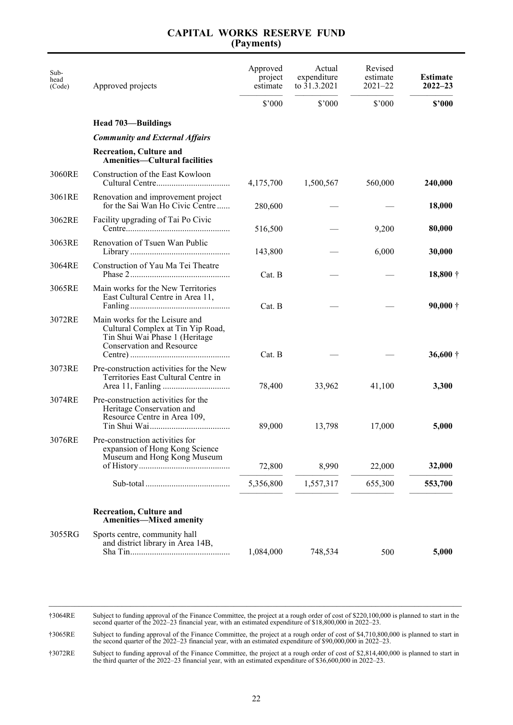| Sub-<br>head<br>(Code) | Approved projects                                                                                                                  | Approved<br>project<br>estimate | Actual<br>expenditure<br>to 31.3.2021 | Revised<br>estimate<br>$2021 - 22$ | <b>Estimate</b><br>$2022 - 23$ |
|------------------------|------------------------------------------------------------------------------------------------------------------------------------|---------------------------------|---------------------------------------|------------------------------------|--------------------------------|
|                        |                                                                                                                                    | \$'000                          | \$3000                                | \$3000                             | \$2000                         |
|                        | <b>Head 703-Buildings</b>                                                                                                          |                                 |                                       |                                    |                                |
|                        | <b>Community and External Affairs</b>                                                                                              |                                 |                                       |                                    |                                |
|                        | <b>Recreation, Culture and</b><br><b>Amenities-Cultural facilities</b>                                                             |                                 |                                       |                                    |                                |
| 3060RE                 | Construction of the East Kowloon                                                                                                   | 4,175,700                       | 1,500,567                             | 560,000                            | 240,000                        |
| 3061RE                 | Renovation and improvement project<br>for the Sai Wan Ho Civic Centre                                                              | 280,600                         |                                       |                                    | 18,000                         |
| 3062RE                 | Facility upgrading of Tai Po Civic                                                                                                 | 516,500                         |                                       | 9,200                              | 80,000                         |
| 3063RE                 | Renovation of Tsuen Wan Public                                                                                                     | 143,800                         |                                       | 6,000                              | 30,000                         |
| 3064RE                 | Construction of Yau Ma Tei Theatre                                                                                                 | Cat. B                          |                                       |                                    | $18,800 \dagger$               |
| 3065RE                 | Main works for the New Territories<br>East Cultural Centre in Area 11,                                                             | Cat. B                          |                                       |                                    | $90,000\dagger$                |
| 3072RE                 | Main works for the Leisure and<br>Cultural Complex at Tin Yip Road,<br>Tin Shui Wai Phase 1 (Heritage<br>Conservation and Resource | Cat. B                          |                                       |                                    | $36,600 \dagger$               |
| 3073RE                 | Pre-construction activities for the New<br>Territories East Cultural Centre in                                                     | 78,400                          | 33,962                                | 41,100                             | 3,300                          |
| 3074RE                 | Pre-construction activities for the<br>Heritage Conservation and<br>Resource Centre in Area 109,                                   | 89,000                          | 13,798                                | 17,000                             | 5,000                          |
| 3076RE                 | Pre-construction activities for<br>expansion of Hong Kong Science<br>Museum and Hong Kong Museum                                   | 72,800                          | 8,990                                 | 22,000                             | 32,000                         |
|                        |                                                                                                                                    |                                 |                                       |                                    |                                |
|                        |                                                                                                                                    | 5,356,800                       | 1,557,317                             | 655,300                            | 553,700                        |
|                        | <b>Recreation, Culture and</b><br><b>Amenities-Mixed amenity</b>                                                                   |                                 |                                       |                                    |                                |
| 3055RG                 | Sports centre, community hall<br>and district library in Area 14B,                                                                 | 1,084,000                       | 748,534                               | 500                                | 5,000                          |

†3064RE Subject to funding approval of the Finance Committee, the project at a rough order of cost of \$220,100,000 is planned to start in the second quarter of the 2022–23 financial year, with an estimated expenditure of \$

\_\_\_\_\_\_\_\_\_\_\_\_\_\_\_\_\_\_\_\_\_\_\_\_\_\_\_\_\_\_\_\_\_\_\_\_\_\_\_\_\_\_\_\_\_\_\_\_\_\_\_\_\_\_\_\_\_\_\_\_\_\_\_\_\_\_\_\_\_\_\_\_\_\_\_\_\_\_\_\_\_\_\_\_\_\_\_\_\_\_\_\_\_\_\_\_

†3065RE Subject to funding approval of the Finance Committee, the project at a rough order of cost of \$4,710,800,000 is planned to start in the second quarter of the 2022–23 financial year, with an estimated expenditure of \$90,000,000 in 2022–23.

†3072RE Subject to funding approval of the Finance Committee, the project at a rough order of cost of \$2,814,400,000 is planned to start in the third quarter of the 2022–23 financial year, with an estimated expenditure of \$36,600,000 in 2022–23.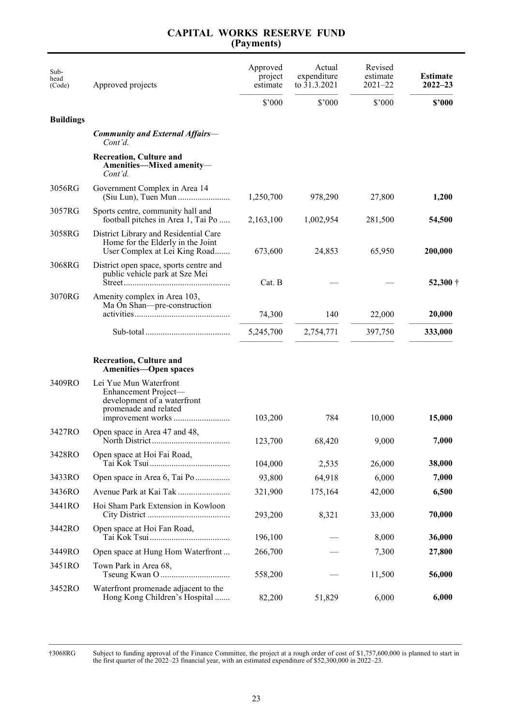| Sub-<br>head<br>(Code) | Approved projects                                                                                           | Approved<br>project<br>estimate | Actual<br>expenditure<br>to 31.3.2021 | Revised<br>estimate<br>$2021 - 22$ | <b>Estimate</b><br>$2022 - 23$ |
|------------------------|-------------------------------------------------------------------------------------------------------------|---------------------------------|---------------------------------------|------------------------------------|--------------------------------|
|                        |                                                                                                             | $$^{\prime}000$                 | \$'000                                | \$7000                             | \$2000                         |
| <b>Buildings</b>       |                                                                                                             |                                 |                                       |                                    |                                |
|                        | <b>Community and External Affairs-</b><br>Cont'd.                                                           |                                 |                                       |                                    |                                |
|                        | <b>Recreation, Culture and</b><br>Amenities-Mixed amenity-<br>Cont'd.                                       |                                 |                                       |                                    |                                |
| 3056RG                 | Government Complex in Area 14                                                                               | 1,250,700                       | 978,290                               | 27,800                             | 1,200                          |
| 3057RG                 | Sports centre, community hall and<br>football pitches in Area 1, Tai Po                                     | 2,163,100                       | 1,002,954                             | 281,500                            | 54,500                         |
| 3058RG                 | District Library and Residential Care<br>Home for the Elderly in the Joint<br>User Complex at Lei King Road | 673,600                         | 24,853                                | 65,950                             | 200,000                        |
| 3068RG                 | District open space, sports centre and<br>public vehicle park at Sze Mei                                    | Cat. B                          |                                       |                                    | 52,300 $\dagger$               |
| 3070RG                 | Amenity complex in Area 103,<br>Ma On Shan-pre-construction                                                 | 74,300                          | 140                                   | 22,000                             | 20,000                         |
|                        |                                                                                                             | 5,245,700                       | 2,754,771                             | 397,750                            | 333,000                        |
|                        | <b>Recreation, Culture and</b><br><b>Amenities-Open spaces</b>                                              |                                 |                                       |                                    |                                |
| 3409RO                 | Lei Yue Mun Waterfront<br>Enhancement Project-<br>development of a waterfront<br>promenade and related      | 103,200                         | 784                                   | 10,000                             | 15,000                         |
| 3427RO                 | Open space in Area 47 and 48,<br>North District                                                             | 123,700                         | 68,420                                | 9,000                              | 7,000                          |
| 3428RO                 | Open space at Hoi Fai Road,                                                                                 | 104,000                         | 2,535                                 | 26,000                             | 38,000                         |
| 3433RO                 | Open space in Area 6, Tai Po                                                                                | 93,800                          | 64,918                                | 6,000                              | 7,000                          |
| 3436RO                 |                                                                                                             | 321,900                         | 175,164                               | 42,000                             | 6,500                          |
| 3441RO                 | Hoi Sham Park Extension in Kowloon                                                                          | 293,200                         | 8,321                                 | 33,000                             | 70,000                         |
| 3442RO                 | Open space at Hoi Fan Road,                                                                                 | 196,100                         |                                       | 8,000                              | 36,000                         |
| 3449RO                 | Open space at Hung Hom Waterfront                                                                           | 266,700                         |                                       | 7,300                              | 27,800                         |
| 3451RO                 | Town Park in Area 68,                                                                                       | 558,200                         |                                       | 11,500                             | 56,000                         |
| 3452RO                 | Waterfront promenade adjacent to the<br>Hong Kong Children's Hospital                                       | 82,200                          | 51,829                                | 6,000                              | 6,000                          |

†3068RG Subject to funding approval of the Finance Committee, the project at a rough order of cost of \$1,757,600,000 is planned to start in the first quarter of the 2022–23 financial year, with an estimated expenditure of \$52,300,000 in 2022–23.

\_\_\_\_\_\_\_\_\_\_\_\_\_\_\_\_\_\_\_\_\_\_\_\_\_\_\_\_\_\_\_\_\_\_\_\_\_\_\_\_\_\_\_\_\_\_\_\_\_\_\_\_\_\_\_\_\_\_\_\_\_\_\_\_\_\_\_\_\_\_\_\_\_\_\_\_\_\_\_\_\_\_\_\_\_\_\_\_\_\_\_\_\_\_\_\_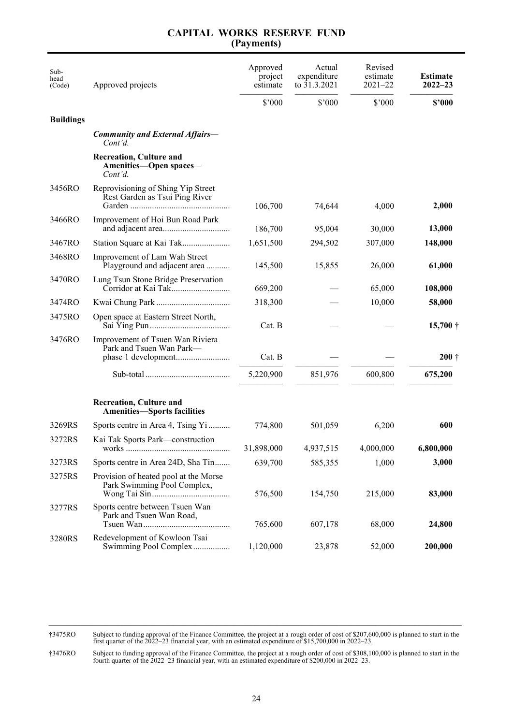| Sub-<br>head<br>(Code) | Approved projects                                                    | Approved<br>project<br>estimate<br>$$^{\prime}000$ | Actual<br>expenditure<br>to 31.3.2021<br>\$'000 | Revised<br>estimate<br>$2021 - 22$<br>\$'000 | <b>Estimate</b><br>$2022 - 23$<br>\$2000 |
|------------------------|----------------------------------------------------------------------|----------------------------------------------------|-------------------------------------------------|----------------------------------------------|------------------------------------------|
| <b>Buildings</b>       |                                                                      |                                                    |                                                 |                                              |                                          |
|                        | <b>Community and External Affairs-</b><br>Cont'd.                    |                                                    |                                                 |                                              |                                          |
|                        | <b>Recreation, Culture and</b><br>Amenities-Open spaces-<br>Cont'd.  |                                                    |                                                 |                                              |                                          |
| 3456RO                 | Reprovisioning of Shing Yip Street<br>Rest Garden as Tsui Ping River | 106,700                                            | 74,644                                          | 4,000                                        | 2,000                                    |
| 3466RO                 | Improvement of Hoi Bun Road Park                                     |                                                    |                                                 |                                              |                                          |
|                        |                                                                      | 186,700                                            | 95,004                                          | 30,000                                       | 13,000                                   |
| 3467RO<br>3468RO       | Improvement of Lam Wah Street                                        | 1,651,500                                          | 294,502                                         | 307,000                                      | 148,000                                  |
|                        | Playground and adjacent area                                         | 145,500                                            | 15,855                                          | 26,000                                       | 61,000                                   |
| 3470RO                 | Lung Tsun Stone Bridge Preservation<br>Corridor at Kai Tak           | 669,200                                            |                                                 | 65,000                                       | 108,000                                  |
| 3474RO                 |                                                                      | 318,300                                            |                                                 | 10,000                                       | 58,000                                   |
| 3475RO                 | Open space at Eastern Street North,                                  | Cat. B                                             |                                                 |                                              | $15,700 \dagger$                         |
| 3476RO                 | Improvement of Tsuen Wan Riviera<br>Park and Tsuen Wan Park—         | Cat. B                                             |                                                 |                                              | $200 +$                                  |
|                        |                                                                      | 5,220,900                                          | 851,976                                         | 600,800                                      | 675,200                                  |
|                        | <b>Recreation, Culture and</b><br><b>Amenities-Sports facilities</b> |                                                    |                                                 |                                              |                                          |
| 3269RS                 | Sports centre in Area 4, Tsing Yi                                    | 774,800                                            | 501,059                                         | 6,200                                        | 600                                      |
| 3272RS                 | Kai Tak Sports Park—construction                                     | 31,898,000                                         | 4,937,515                                       | 4,000,000                                    | 6,800,000                                |
| 3273RS                 | Sports centre in Area 24D, Sha Tin                                   | 639,700                                            | 585,355                                         | 1,000                                        | 3,000                                    |
| 3275RS                 | Provision of heated pool at the Morse<br>Park Swimming Pool Complex, | 576,500                                            | 154,750                                         | 215,000                                      | 83,000                                   |
| 3277RS                 | Sports centre between Tsuen Wan<br>Park and Tsuen Wan Road,          | 765,600                                            | 607,178                                         | 68,000                                       | 24,800                                   |
| 3280RS                 | Redevelopment of Kowloon Tsai<br>Swimming Pool Complex               | 1,120,000                                          | 23,878                                          | 52,000                                       | 200,000                                  |

†3475RO Subject to funding approval of the Finance Committee, the project at a rough order of cost of \$207,600,000 is planned to start in the first quarter of the 2022–23 financial year, with an estimated expenditure of \$15,700,000 in 2022–23.

†3476RO Subject to funding approval of the Finance Committee, the project at a rough order of cost of \$308,100,000 is planned to start in the fourth quarter of the 2022–23 financial year, with an estimated expenditure of \$200,000 in 2022–23.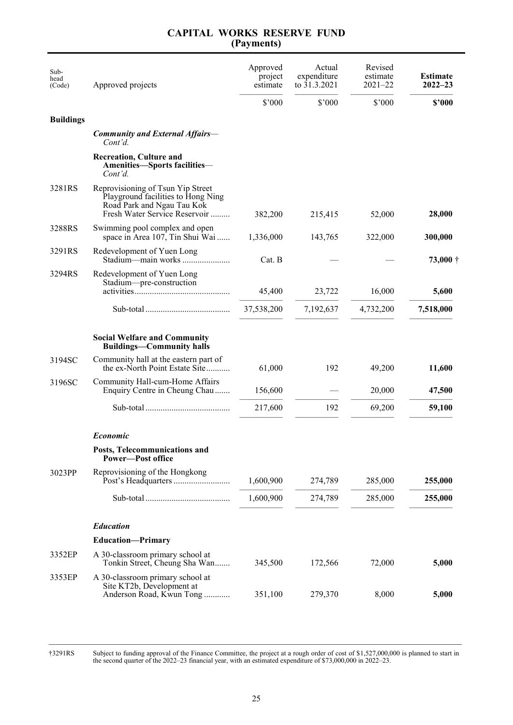| Sub-<br>head<br>(Code) | Approved projects                                                                                                                      | Approved<br>project<br>estimate | Actual<br>expenditure<br>to 31.3.2021 | Revised<br>estimate<br>$2021 - 22$ | <b>Estimate</b><br>$2022 - 23$ |
|------------------------|----------------------------------------------------------------------------------------------------------------------------------------|---------------------------------|---------------------------------------|------------------------------------|--------------------------------|
|                        |                                                                                                                                        | $$^{\prime}000$                 | \$'000                                | \$'000                             | \$2000                         |
| <b>Buildings</b>       |                                                                                                                                        |                                 |                                       |                                    |                                |
|                        | <b>Community and External Affairs-</b><br>Cont'd.                                                                                      |                                 |                                       |                                    |                                |
|                        | <b>Recreation, Culture and</b><br>Amenities-Sports facilities-<br>Cont'd.                                                              |                                 |                                       |                                    |                                |
| 3281RS                 | Reprovisioning of Tsun Yip Street<br>Playground facilities to Hong Ning<br>Road Park and Ngau Tau Kok<br>Fresh Water Service Reservoir | 382,200                         | 215,415                               | 52,000                             | 28,000                         |
| 3288RS                 | Swimming pool complex and open<br>space in Area 107, Tin Shui Wai                                                                      | 1,336,000                       | 143,765                               | 322,000                            | 300,000                        |
| 3291RS                 | Redevelopment of Yuen Long<br>Stadium—main works                                                                                       | Cat. B                          |                                       |                                    | $73,000 \dagger$               |
| 3294RS                 | Redevelopment of Yuen Long<br>Stadium-pre-construction                                                                                 | 45,400                          | 23,722                                | 16,000                             | 5,600                          |
|                        |                                                                                                                                        | 37,538,200                      | 7,192,637                             | 4,732,200                          | 7,518,000                      |
|                        | <b>Social Welfare and Community</b><br><b>Buildings-Community halls</b>                                                                |                                 |                                       |                                    |                                |
| 3194SC                 | Community hall at the eastern part of<br>the ex-North Point Estate Site                                                                | 61,000                          | 192                                   | 49,200                             | 11,600                         |
| 3196SC                 | Community Hall-cum-Home Affairs<br>Enquiry Centre in Cheung Chau                                                                       | 156,600                         |                                       | 20,000                             | 47,500                         |
|                        |                                                                                                                                        | 217,600                         | 192                                   | 69,200                             | 59,100                         |
|                        | Economic                                                                                                                               |                                 |                                       |                                    |                                |
|                        | Posts, Telecommunications and<br><b>Power-Post office</b>                                                                              |                                 |                                       |                                    |                                |
| 3023PP                 | Reprovisioning of the Hongkong                                                                                                         | 1,600,900                       | 274,789                               | 285,000                            | 255,000                        |
|                        |                                                                                                                                        | 1,600,900                       | 274,789                               | 285,000                            | 255,000                        |
|                        | <b>Education</b>                                                                                                                       |                                 |                                       |                                    |                                |
|                        | <b>Education-Primary</b>                                                                                                               |                                 |                                       |                                    |                                |
| 3352EP                 | A 30-classroom primary school at<br>Tonkin Street, Cheung Sha Wan                                                                      | 345,500                         | 172,566                               | 72,000                             | 5,000                          |
| 3353EP                 | A 30-classroom primary school at<br>Site KT2b, Development at<br>Anderson Road, Kwun Tong                                              | 351,100                         | 279,370                               | 8,000                              | 5,000                          |

†3291RS Subject to funding approval of the Finance Committee, the project at a rough order of cost of \$1,527,000,000 is planned to start in the second quarter of the 2022–23 financial year, with an estimated expenditure of \$73,000,000 in 2022–23.

\_\_\_\_\_\_\_\_\_\_\_\_\_\_\_\_\_\_\_\_\_\_\_\_\_\_\_\_\_\_\_\_\_\_\_\_\_\_\_\_\_\_\_\_\_\_\_\_\_\_\_\_\_\_\_\_\_\_\_\_\_\_\_\_\_\_\_\_\_\_\_\_\_\_\_\_\_\_\_\_\_\_\_\_\_\_\_\_\_\_\_\_\_\_\_\_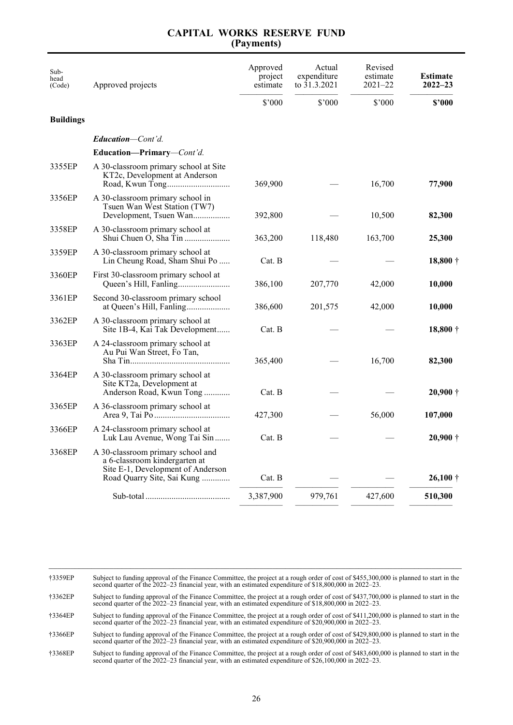| Sub-<br>head<br>(Code) | Approved projects                                                                                                                     | Approved<br>project<br>estimate | Actual<br>expenditure<br>to 31.3.2021 | Revised<br>estimate<br>$2021 - 22$ | <b>Estimate</b><br>$2022 - 23$ |
|------------------------|---------------------------------------------------------------------------------------------------------------------------------------|---------------------------------|---------------------------------------|------------------------------------|--------------------------------|
|                        |                                                                                                                                       | \$'000                          | \$'000                                | \$'000                             | \$2000                         |
| <b>Buildings</b>       |                                                                                                                                       |                                 |                                       |                                    |                                |
|                        | <b>Education</b> —Cont'd.                                                                                                             |                                 |                                       |                                    |                                |
|                        | Education-Primary-Cont'd.                                                                                                             |                                 |                                       |                                    |                                |
| 3355EP                 | A 30-classroom primary school at Site<br>KT2c, Development at Anderson                                                                | 369,900                         |                                       | 16,700                             | 77,900                         |
| 3356EP                 | A 30-classroom primary school in<br>Tsuen Wan West Station (TW7)<br>Development, Tsuen Wan                                            | 392,800                         |                                       | 10,500                             | 82,300                         |
| 3358EP                 | A 30-classroom primary school at                                                                                                      | 363,200                         | 118,480                               | 163,700                            | 25,300                         |
| 3359EP                 | A 30-classroom primary school at<br>Lin Cheung Road, Sham Shui Po                                                                     | Cat. B                          |                                       |                                    | $18,800 \dagger$               |
| 3360EP                 | First 30-classroom primary school at                                                                                                  | 386,100                         | 207,770                               | 42,000                             | 10,000                         |
| 3361EP                 | Second 30-classroom primary school                                                                                                    | 386,600                         | 201,575                               | 42,000                             | 10,000                         |
| 3362EP                 | A 30-classroom primary school at<br>Site 1B-4, Kai Tak Development                                                                    | Cat. B                          |                                       |                                    | $18,800 \dagger$               |
| 3363EP                 | A 24-classroom primary school at<br>Au Pui Wan Street, Fo Tan,                                                                        | 365,400                         |                                       | 16,700                             | 82,300                         |
| 3364EP                 | A 30-classroom primary school at<br>Site KT2a, Development at<br>Anderson Road, Kwun Tong                                             | Cat. B                          |                                       |                                    | $20,900\dagger$                |
| 3365EP                 | A 36-classroom primary school at                                                                                                      | 427,300                         |                                       | 56,000                             | 107,000                        |
| 3366EP                 | A 24-classroom primary school at<br>Luk Lau Avenue, Wong Tai Sin                                                                      | Cat. B                          |                                       |                                    | $20,900\dagger$                |
| 3368EP                 | A 30-classroom primary school and<br>a 6-classroom kindergarten at<br>Site E-1, Development of Anderson<br>Road Quarry Site, Sai Kung | Cat. B                          |                                       |                                    | $26,100 \dagger$               |
|                        |                                                                                                                                       | 3,387,900                       | 979,761                               | 427,600                            | 510,300                        |
|                        |                                                                                                                                       |                                 |                                       |                                    |                                |

†3359EP Subject to funding approval of the Finance Committee, the project at a rough order of cost of \$455,300,000 is planned to start in the second quarter of the 2022–23 financial year, with an estimated expenditure of \$18,800,000 in 2022–23. †3362EP Subject to funding approval of the Finance Committee, the project at a rough order of cost of \$437,700,000 is planned to start in the second quarter of the 2022–23 financial year, with an estimated expenditure of \$18,800,000 in 2022–23. †3364EP Subject to funding approval of the Finance Committee, the project at a rough order of cost of \$411,200,000 is planned to start in the second quarter of the 2022–23 financial year, with an estimated expenditure of \$ †3366EP Subject to funding approval of the Finance Committee, the project at a rough order of cost of \$429,800,000 is planned to start in the second quarter of the 2022–23 financial year, with an estimated expenditure of \$20,900,000 in 2022–23. †3368EP Subject to funding approval of the Finance Committee, the project at a rough order of cost of \$483,600,000 is planned to start in the second quarter of the 2022–23 financial year, with an estimated expenditure of \$26,100,000 in 2022–23.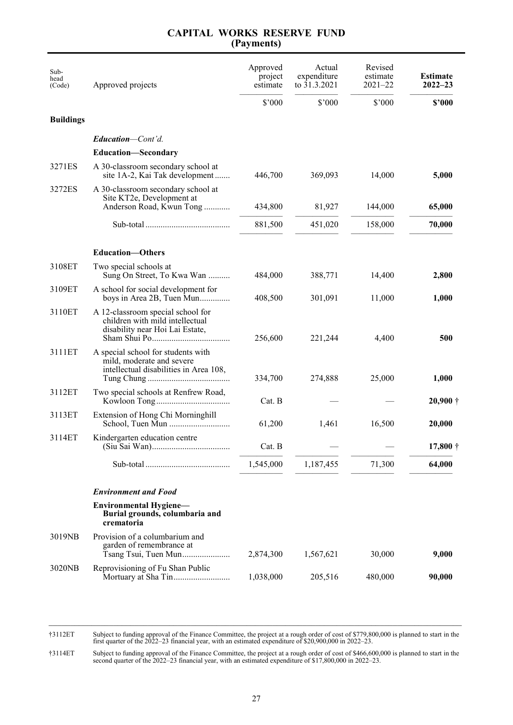| Sub-<br>head<br>(Code) | Approved projects                                                                                         | Approved<br>project<br>estimate<br>\$'000 | Actual<br>expenditure<br>to 31.3.2021<br>\$'000 | Revised<br>estimate<br>$2021 - 22$<br>\$'000 | <b>Estimate</b><br>$2022 - 23$<br>\$2000 |
|------------------------|-----------------------------------------------------------------------------------------------------------|-------------------------------------------|-------------------------------------------------|----------------------------------------------|------------------------------------------|
| <b>Buildings</b>       |                                                                                                           |                                           |                                                 |                                              |                                          |
|                        | <b>Education</b> —Cont'd.                                                                                 |                                           |                                                 |                                              |                                          |
|                        | <b>Education-Secondary</b>                                                                                |                                           |                                                 |                                              |                                          |
| 3271ES                 | A 30-classroom secondary school at<br>site 1A-2, Kai Tak development                                      | 446,700                                   | 369,093                                         | 14,000                                       | 5,000                                    |
| 3272ES                 | A 30-classroom secondary school at<br>Site KT2e, Development at<br>Anderson Road, Kwun Tong               | 434,800                                   | 81,927                                          | 144,000                                      | 65,000                                   |
|                        |                                                                                                           | 881,500                                   | 451,020                                         | 158,000                                      | 70,000                                   |
|                        | <b>Education-Others</b>                                                                                   |                                           |                                                 |                                              |                                          |
| 3108ET                 | Two special schools at<br>Sung On Street, To Kwa Wan                                                      | 484,000                                   | 388,771                                         | 14,400                                       | 2,800                                    |
| 3109ET                 | A school for social development for<br>boys in Area 2B, Tuen Mun                                          | 408,500                                   | 301,091                                         | 11,000                                       | 1,000                                    |
| 3110ET                 | A 12-classroom special school for<br>children with mild intellectual<br>disability near Hoi Lai Estate,   | 256,600                                   | 221,244                                         | 4,400                                        | 500                                      |
| 3111ET                 | A special school for students with<br>mild, moderate and severe<br>intellectual disabilities in Area 108, | 334,700                                   | 274,888                                         | 25,000                                       | 1,000                                    |
| 3112ET                 | Two special schools at Renfrew Road,                                                                      | Cat. B                                    |                                                 |                                              | $20,900\dagger$                          |
| 3113ET                 | Extension of Hong Chi Morninghill                                                                         | 61,200                                    | 1,461                                           | 16,500                                       | 20,000                                   |
| 3114ET                 | Kindergarten education centre                                                                             | Cat. B                                    |                                                 |                                              | $17,800 \dagger$                         |
|                        |                                                                                                           | 1,545,000                                 | 1,187,455                                       | 71,300                                       | 64,000                                   |
|                        | <b>Environment and Food</b>                                                                               |                                           |                                                 |                                              |                                          |
|                        | <b>Environmental Hygiene-</b><br>Burial grounds, columbaria and<br>crematoria                             |                                           |                                                 |                                              |                                          |
| 3019NB                 | Provision of a columbarium and<br>garden of remembrance at<br>Tsang Tsui, Tuen Mun                        | 2,874,300                                 | 1,567,621                                       | 30,000                                       | 9,000                                    |
| 3020NB                 | Reprovisioning of Fu Shan Public                                                                          | 1,038,000                                 | 205,516                                         | 480,000                                      | 90,000                                   |

†3112ET Subject to funding approval of the Finance Committee, the project at a rough order of cost of \$779,800,000 is planned to start in the first quarter of the 2022–23 financial year, with an estimated expenditure of \$20,900,000 in 2022–23.

†3114ET Subject to funding approval of the Finance Committee, the project at a rough order of cost of \$466,600,000 is planned to start in the second quarter of the 2022–23 financial year, with an estimated expenditure of \$17,800,000 in 2022–23.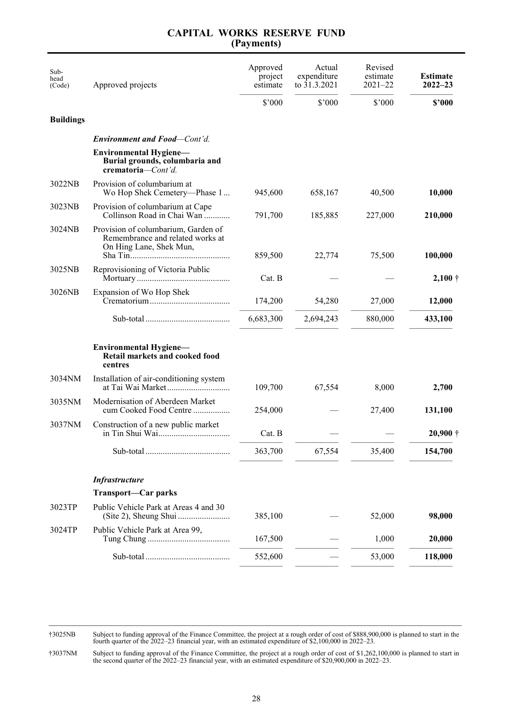| Sub-<br>head<br>(Code) | Approved projects                                                                                  | Approved<br>project<br>estimate | Actual<br>expenditure<br>to 31.3.2021 | Revised<br>estimate<br>$2021 - 22$ | <b>Estimate</b><br>$2022 - 23$ |
|------------------------|----------------------------------------------------------------------------------------------------|---------------------------------|---------------------------------------|------------------------------------|--------------------------------|
|                        |                                                                                                    | $$^{\prime}000$                 | \$'000                                | \$'000                             | \$'000                         |
| <b>Buildings</b>       |                                                                                                    |                                 |                                       |                                    |                                |
|                        | <b>Environment and Food–Cont'd.</b>                                                                |                                 |                                       |                                    |                                |
|                        | <b>Environmental Hygiene-</b><br>Burial grounds, columbaria and<br>crematoria-Cont'd.              |                                 |                                       |                                    |                                |
| 3022NB                 | Provision of columbarium at<br>Wo Hop Shek Cemetery-Phase 1                                        | 945,600                         | 658,167                               | 40,500                             | 10,000                         |
| 3023NB                 | Provision of columbarium at Cape<br>Collinson Road in Chai Wan                                     | 791,700                         | 185,885                               | 227,000                            | 210,000                        |
| 3024NB                 | Provision of columbarium, Garden of<br>Remembrance and related works at<br>On Hing Lane, Shek Mun, | 859,500                         | 22,774                                | 75,500                             | 100,000                        |
| 3025NB                 | Reprovisioning of Victoria Public                                                                  | Cat. B                          |                                       |                                    | $2,100 \dagger$                |
| 3026NB                 | Expansion of Wo Hop Shek                                                                           | 174,200                         | 54,280                                | 27,000                             | 12,000                         |
|                        |                                                                                                    | 6,683,300                       | 2,694,243                             | 880,000                            | 433,100                        |
|                        | <b>Environmental Hygiene-</b><br><b>Retail markets and cooked food</b><br>centres                  |                                 |                                       |                                    |                                |
| 3034NM                 | Installation of air-conditioning system<br>at Tai Wai Market                                       | 109,700                         | 67,554                                | 8,000                              | 2,700                          |
| 3035NM                 | Modernisation of Aberdeen Market<br>cum Cooked Food Centre                                         | 254,000                         |                                       | 27,400                             | 131,100                        |
| 3037NM                 | Construction of a new public market                                                                | Cat. B                          |                                       |                                    | $20,900\dagger$                |
|                        |                                                                                                    | 363,700                         | 67,554                                | 35,400                             | 154,700                        |
|                        | <b>Infrastructure</b>                                                                              |                                 |                                       |                                    |                                |
|                        | <b>Transport-Car parks</b>                                                                         |                                 |                                       |                                    |                                |
| 3023TP                 | Public Vehicle Park at Areas 4 and 30                                                              | 385,100                         |                                       | 52,000                             | 98,000                         |
| 3024TP                 | Public Vehicle Park at Area 99,                                                                    | 167,500                         |                                       | 1,000                              | 20,000                         |
|                        |                                                                                                    | 552,600                         |                                       | 53,000                             | 118,000                        |
|                        |                                                                                                    |                                 |                                       |                                    |                                |

†3025NB Subject to funding approval of the Finance Committee, the project at a rough order of cost of \$888,900,000 is planned to start in the fourth quarter of the 2022–23 financial year, with an estimated expenditure of \$2,100,000 in 2022–23.

†3037NM Subject to funding approval of the Finance Committee, the project at a rough order of cost of \$1,262,100,000 is planned to start in the second quarter of the 2022–23 financial year, with an estimated expenditure of \$20,900,000 in 2022–23.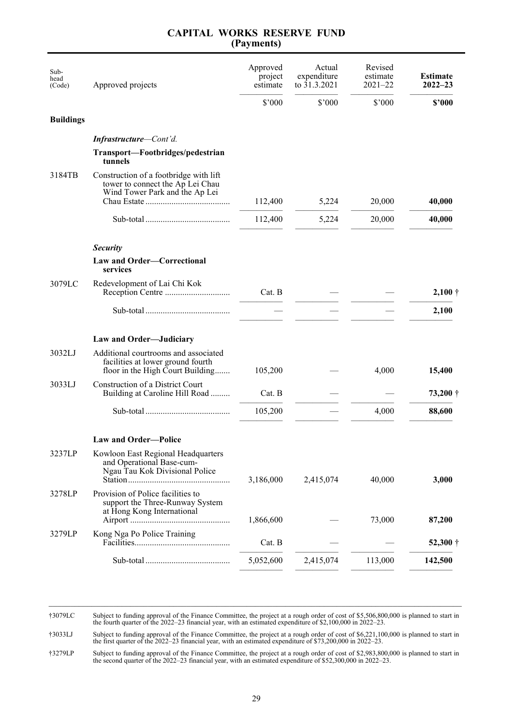| Sub-<br>head<br>(Code) | Approved projects                                                                                             | Approved<br>project<br>estimate | Actual<br>expenditure<br>to 31.3.2021 | Revised<br>estimate<br>$2021 - 22$ | <b>Estimate</b><br>$2022 - 23$ |
|------------------------|---------------------------------------------------------------------------------------------------------------|---------------------------------|---------------------------------------|------------------------------------|--------------------------------|
|                        |                                                                                                               | \$'000                          | \$'000                                | \$'000                             | \$2000                         |
| <b>Buildings</b>       |                                                                                                               |                                 |                                       |                                    |                                |
|                        | Infrastructure-Cont'd.                                                                                        |                                 |                                       |                                    |                                |
|                        | Transport-Footbridges/pedestrian<br>tunnels                                                                   |                                 |                                       |                                    |                                |
| 3184TB                 | Construction of a footbridge with lift<br>tower to connect the Ap Lei Chau<br>Wind Tower Park and the Ap Lei  | 112,400                         | 5,224                                 | 20,000                             | 40,000                         |
|                        |                                                                                                               | 112,400                         | 5,224                                 | 20,000                             | 40,000                         |
|                        | <b>Security</b>                                                                                               |                                 |                                       |                                    |                                |
|                        | <b>Law and Order-Correctional</b><br>services                                                                 |                                 |                                       |                                    |                                |
| 3079LC                 | Redevelopment of Lai Chi Kok                                                                                  | Cat. B                          |                                       |                                    | $2,100 \dagger$                |
|                        |                                                                                                               |                                 |                                       |                                    | 2,100                          |
|                        | Law and Order-Judiciary                                                                                       |                                 |                                       |                                    |                                |
| 3032LJ                 | Additional courtrooms and associated<br>facilities at lower ground fourth<br>floor in the High Court Building | 105,200                         |                                       | 4,000                              | 15,400                         |
| 3033LJ                 | Construction of a District Court<br>Building at Caroline Hill Road                                            | Cat. B                          |                                       |                                    | $73,200 \dagger$               |
|                        |                                                                                                               | 105,200                         |                                       | 4,000                              | 88,600                         |
|                        | <b>Law and Order-Police</b>                                                                                   |                                 |                                       |                                    |                                |
| 3237LP                 | Kowloon East Regional Headquarters<br>and Operational Base-cum-<br>Ngau Tau Kok Divisional Police             | 3,186,000                       | 2,415,074                             | 40,000                             | 3,000                          |
| 3278LP                 | Provision of Police facilities to<br>support the Three-Runway System<br>at Hong Kong International            | 1,866,600                       |                                       | 73,000                             | 87,200                         |
| 3279LP                 | Kong Nga Po Police Training                                                                                   | Cat. B                          |                                       |                                    | $52,300 \dagger$               |
|                        |                                                                                                               | 5,052,600                       | 2,415,074                             | 113,000                            | 142,500                        |
|                        |                                                                                                               |                                 |                                       |                                    |                                |

\_\_\_\_\_\_\_\_\_\_\_\_\_\_\_\_\_\_\_\_\_\_\_\_\_\_\_\_\_\_\_\_\_\_\_\_\_\_\_\_\_\_\_\_\_\_\_\_\_\_\_\_\_\_\_\_\_\_\_\_\_\_\_\_\_\_\_\_\_\_\_\_\_\_\_\_\_\_\_\_\_\_\_\_\_\_\_\_\_\_\_\_\_\_\_\_ †3079LC Subject to funding approval of the Finance Committee, the project at a rough order of cost of \$5,506,800,000 is planned to start in the fourth quarter of the 2022–23 financial year, with an estimated expenditure of

†3033LJ Subject to funding approval of the Finance Committee, the project at a rough order of cost of \$6,221,100,000 is planned to start in the first quarter of the 2022–23 financial year, with an estimated expenditure of \$73,200,000 in 2022–23.

†3279LP Subject to funding approval of the Finance Committee, the project at a rough order of cost of \$2,983,800,000 is planned to start in the second quarter of the 2022–23 financial year, with an estimated expenditure of \$52,300,000 in 2022–23.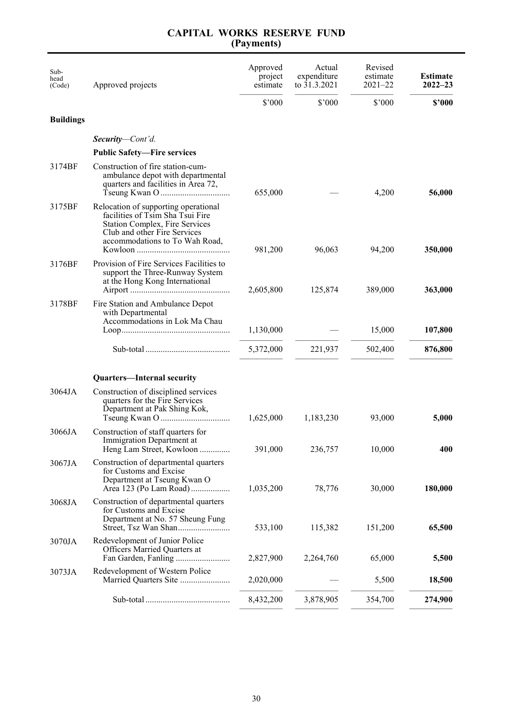#### Subhead<br>(Code) Approved projects Approved project estimate Actual expenditure to 31.3.2021 Revised estimate 2021–22 **Estimate 2022–23** ————— ————— ————— ————— \$'000 \$'000 \$'000 **\$'000 Buildings** *Security—Cont'd.* **Public Safety—Fire services** 3174BF Construction of fire station-cumambulance depot with departmental quarters and facilities in Area 72, Tseung Kwan O ....................................... 655,000 — 4,200 **56,000** 3175BF Relocation of supporting operational facilities of Tsim Sha Tsui Fire Station Complex, Fire Services Club and other Fire Services accommodations to To Wah Road, Kowloon .................................................. 981,200 96,063 94,200 **350,000** 3176BF Provision of Fire Services Facilities to support the Three-Runway System at the Hong Kong International Airport ..................................................... 2,605,800 125,874 389,000 **363,000** 3178BF Fire Station and Ambulance Depot with Departmental Accommodations in Lok Ma Chau Loop......................................................... 1,130,000 — 15,000 **107,800** ————— ————— ————— ————— Sub-total .............................................. 5,372,000 221,937 502,400 **876,800** ————— ————— ————— ————— **Quarters—Internal security** 3064JA Construction of disciplined services quarters for the Fire Services Department at Pak Shing Kok, Tseung Kwan O ....................................... 1,625,000 1,183,230 93,000 **5,000** 3066JA Construction of staff quarters for Immigration Department at Heng Lam Street, Kowloon ..................... 391,000 236,757 10,000 **400** 3067JA Construction of departmental quarters for Customs and Excise Department at Tseung Kwan O Area 123 (Po Lam Road)......................... 1,035,200 78,776 30,000 **180,000** 3068JA Construction of departmental quarters for Customs and Excise Department at No. 57 Sheung Fung Street, Tsz Wan Shan............................... 533,100 115,382 151,200 **65,500** 3070JA Redevelopment of Junior Police Officers Married Quarters at Fan Garden, Fanling ................................ 2,827,900 2,264,760 65,000 **5,500** 3073JA Redevelopment of Western Police Married Quarters Site .............................. 2,020,000 — 5,500 **18,500** ————— ————— ————— ————— Sub-total .............................................. 8,432,200 3,878,905 354,700 **274,900**

# **CAPITAL WORKS RESERVE FUND (Payments)**

————— ————— ————— —————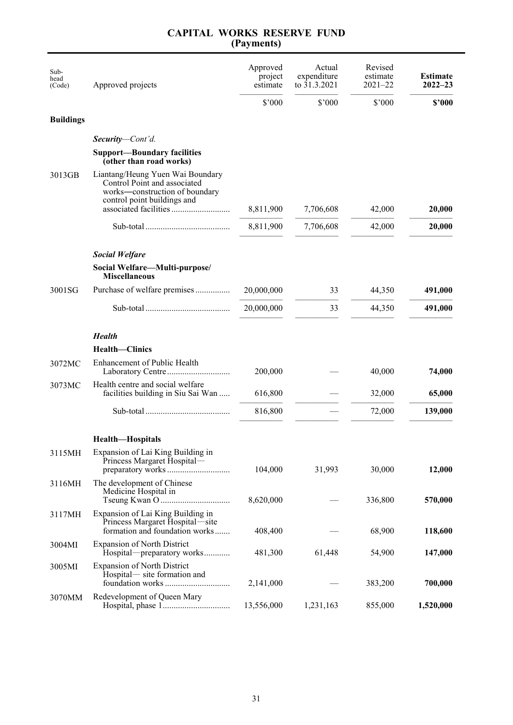| Sub-<br>head<br>(Code) | Approved projects                                                                                                                 | Approved<br>project<br>estimate | Actual<br>expenditure<br>to 31.3.2021 | Revised<br>estimate<br>$2021 - 22$ | <b>Estimate</b><br>$2022 - 23$ |
|------------------------|-----------------------------------------------------------------------------------------------------------------------------------|---------------------------------|---------------------------------------|------------------------------------|--------------------------------|
|                        |                                                                                                                                   | \$3000                          | \$'000                                | \$'000                             | \$2000                         |
| <b>Buildings</b>       |                                                                                                                                   |                                 |                                       |                                    |                                |
|                        | <b>Security</b> —Cont'd.                                                                                                          |                                 |                                       |                                    |                                |
|                        | <b>Support-Boundary facilities</b><br>(other than road works)                                                                     |                                 |                                       |                                    |                                |
| 3013GB                 | Liantang/Heung Yuen Wai Boundary<br>Control Point and associated<br>works-construction of boundary<br>control point buildings and | 8,811,900                       | 7,706,608                             | 42,000                             | 20,000                         |
|                        |                                                                                                                                   | 8,811,900                       | 7,706,608                             | 42,000                             | 20,000                         |
|                        | <b>Social Welfare</b><br>Social Welfare-Multi-purpose/<br><b>Miscellaneous</b>                                                    |                                 |                                       |                                    |                                |
| 3001SG                 | Purchase of welfare premises                                                                                                      | 20,000,000                      | 33                                    | 44,350                             | 491,000                        |
|                        |                                                                                                                                   | 20,000,000                      | 33                                    | 44,350                             | 491,000                        |
|                        | <b>Health</b>                                                                                                                     |                                 |                                       |                                    |                                |
|                        | <b>Health-Clinics</b>                                                                                                             |                                 |                                       |                                    |                                |
| 3072MC                 | Enhancement of Public Health                                                                                                      | 200,000                         |                                       | 40,000                             | 74,000                         |
| 3073MC                 | Health centre and social welfare<br>facilities building in Siu Sai Wan                                                            | 616,800                         |                                       | 32,000                             | 65,000                         |
|                        |                                                                                                                                   | 816,800                         |                                       | 72,000                             | 139,000                        |
|                        | <b>Health-Hospitals</b>                                                                                                           |                                 |                                       |                                    |                                |
| 3115MH                 | Expansion of Lai King Building in<br>Princess Margaret Hospital-                                                                  | 104,000                         | 31,993                                | 30,000                             | 12,000                         |
| 3116MH                 | The development of Chinese<br>Medicine Hospital in                                                                                | 8,620,000                       |                                       | 336,800                            | 570,000                        |
| 3117MH                 | Expansion of Lai King Building in<br>Princess Margaret Hospital-site<br>formation and foundation works                            | 408,400                         |                                       | 68,900                             | 118,600                        |
| 3004MI                 | <b>Expansion of North District</b><br>Hospital—preparatory works                                                                  | 481,300                         | 61,448                                | 54,900                             | 147,000                        |
| 3005MI                 | <b>Expansion of North District</b><br>Hospital- site formation and                                                                | 2,141,000                       |                                       | 383,200                            | 700,000                        |
| 3070MM                 | Redevelopment of Queen Mary                                                                                                       | 13,556,000                      | 1,231,163                             | 855,000                            | 1,520,000                      |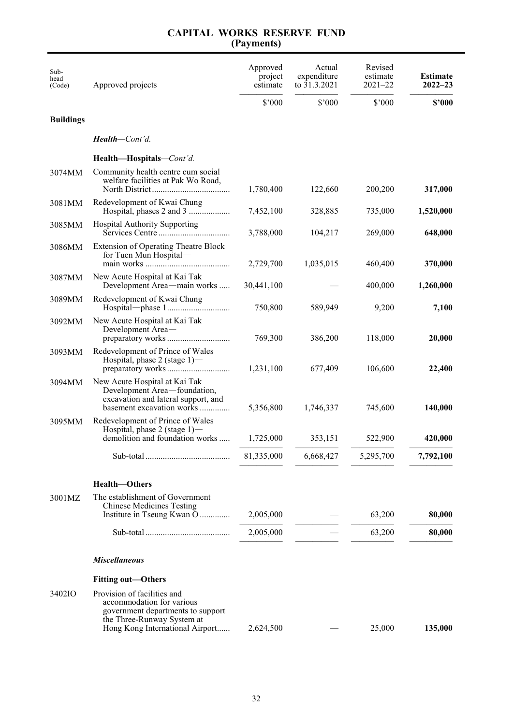#### **CAPITAL WORKS RESERVE FUND (Payments)** Approved projects Approved project estimate Actual expenditure to 31.3.2021 Revised estimate 2021–22 ————— ————— ————— ————— \$'000 \$'000 \$'000 **\$'000** *Health—Cont'd.* **Health—Hospitals***—Cont'd.* 3074MM Community health centre cum social welfare facilities at Pak Wo Road, North District........................................... 1,780,400 122,660 200,200 **317,000** 3081MM Redevelopment of Kwai Chung Hospital, phases 2 and 3 .......................... 7,452,100 328,885 735,000 **1,520,000** 3085MM Hospital Authority Supporting Services Centre ........................................ 3,788,000 104,217 269,000 **648,000** 3086MM Extension of Operating Theatre Block for Tuen Mun Hospital main works .............................................. 2,729,700 1,035,015 460,400 **370,000** 3087MM New Acute Hospital at Kai Tak Development Area—main works ............30,441,100 — 400,000 **1,260,000** 3089MM Redevelopment of Kwai Chung Hospital—phase 1.................................... 750,800 589,949 9,200 **7,100** 3092MM New Acute Hospital at Kai Tak Development Area preparatory works.................................... 769,300 386,200 118,000 **20,000** 3093MM Redevelopment of Prince of Wales Hospital, phase 2 (stage 1) preparatory works.................................... 1,231,100 677,409 106,600 **22,400** 3094MM New Acute Hospital at Kai Tak

**Estimate 2022–23**

|        | excavation and lateral support, and<br>basement excavation works                                        | 5,356,800  | 1,746,337 | 745,600   | 140,000   |
|--------|---------------------------------------------------------------------------------------------------------|------------|-----------|-----------|-----------|
| 3095MM | Redevelopment of Prince of Wales<br>Hospital, phase 2 (stage $1$ ) –<br>demolition and foundation works | 1,725,000  | 353,151   | 522,900   | 420,000   |
|        |                                                                                                         | 81,335,000 | 6,668,427 | 5,295,700 | 7,792,100 |
|        | <b>Health-Others</b>                                                                                    |            |           |           |           |
| 3001MZ | The establishment of Government<br><b>Chinese Medicines Testing</b><br>Institute in Tseung Kwan O       | 2,005,000  |           | 63,200    | 80,000    |
|        |                                                                                                         | 2,005,000  |           | 63,200    | 80,000    |
|        |                                                                                                         |            |           |           |           |

#### *Miscellaneous*

Subhead<br>(Code)

**Buildings**

#### **Fitting out—Others**

Development Area—foundation,

| 3402IO | Provision of facilities and<br>accommodation for various |           |                          |        |         |
|--------|----------------------------------------------------------|-----------|--------------------------|--------|---------|
|        | government departments to support                        |           |                          |        |         |
|        | the Three-Runway System at                               |           |                          |        |         |
|        | Hong Kong International Airport                          | 2.624,500 | $\overline{\phantom{a}}$ | 25,000 | 135,000 |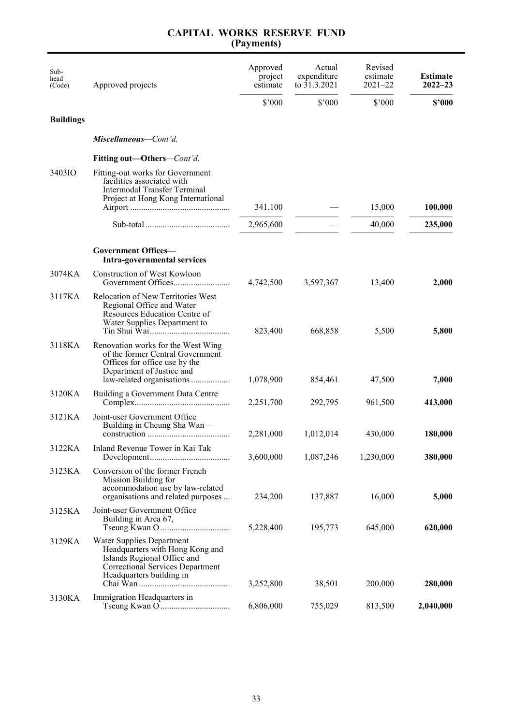| Sub-<br>head<br>(Code) | Approved projects                                                                                                                                                 | Approved<br>project<br>estimate | Actual<br>expenditure<br>to 31.3.2021 | Revised<br>estimate<br>$2021 - 22$ | <b>Estimate</b><br>$2022 - 23$ |
|------------------------|-------------------------------------------------------------------------------------------------------------------------------------------------------------------|---------------------------------|---------------------------------------|------------------------------------|--------------------------------|
|                        |                                                                                                                                                                   | $$^{\prime}000$                 | \$'000                                | $$^{\prime}000$                    | \$2000                         |
| <b>Buildings</b>       |                                                                                                                                                                   |                                 |                                       |                                    |                                |
|                        | Miscellaneous-Cont'd.                                                                                                                                             |                                 |                                       |                                    |                                |
|                        | Fitting out-Others-Cont'd.                                                                                                                                        |                                 |                                       |                                    |                                |
| 3403IO                 | Fitting-out works for Government<br>facilities associated with<br>Intermodal Transfer Terminal<br>Project at Hong Kong International                              | 341,100                         |                                       | 15,000                             | 100,000                        |
|                        |                                                                                                                                                                   | 2,965,600                       |                                       | 40,000                             | 235,000                        |
|                        | <b>Government Offices-</b><br>Intra-governmental services                                                                                                         |                                 |                                       |                                    |                                |
| 3074KA                 | Construction of West Kowloon                                                                                                                                      | 4,742,500                       | 3,597,367                             | 13,400                             | 2,000                          |
| 3117KA                 | <b>Relocation of New Territories West</b><br>Regional Office and Water<br>Resources Education Centre of<br>Water Supplies Department to                           | 823,400                         | 668,858                               | 5,500                              | 5,800                          |
| 3118KA                 | Renovation works for the West Wing<br>of the former Central Government<br>Offices for office use by the<br>Department of Justice and<br>law-related organisations | 1,078,900                       | 854,461                               | 47,500                             | 7,000                          |
| 3120KA                 | Building a Government Data Centre                                                                                                                                 | 2,251,700                       | 292,795                               | 961,500                            | 413,000                        |
| 3121KA                 | Joint-user Government Office<br>Building in Cheung Sha Wan-                                                                                                       | 2,281,000                       | 1,012,014                             | 430,000                            | 180,000                        |
| 3122KA                 | Inland Revenue Tower in Kai Tak                                                                                                                                   | 3,600,000                       | 1,087,246                             | 1,230,000                          | 380,000                        |
| 3123KA                 | Conversion of the former French<br>Mission Building for<br>accommodation use by law-related<br>organisations and related purposes                                 | 234,200                         | 137,887                               | 16,000                             | 5,000                          |
| 3125KA                 | Joint-user Government Office<br>Building in Area 67,                                                                                                              | 5,228,400                       | 195,773                               | 645,000                            | 620,000                        |
| 3129KA                 | Water Supplies Department<br>Headquarters with Hong Kong and<br>Islands Regional Office and<br>Correctional Services Department<br>Headquarters building in       | 3,252,800                       | 38,501                                | 200,000                            | 280,000                        |
| 3130KA                 | Immigration Headquarters in                                                                                                                                       | 6,806,000                       | 755,029                               | 813,500                            | 2,040,000                      |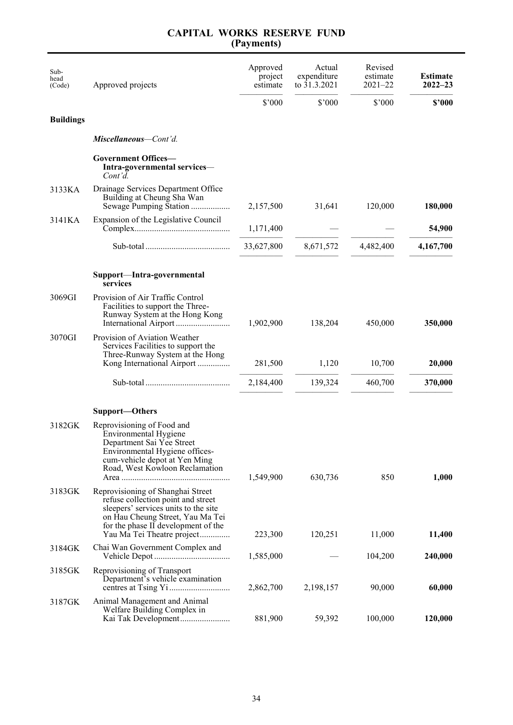| Sub-<br>head<br>(Code) | Approved projects                                                                                                                                                                                                        | Approved<br>project<br>estimate | Actual<br>expenditure<br>to 31.3.2021 | Revised<br>estimate<br>$2021 - 22$ | <b>Estimate</b><br>$2022 - 23$ |
|------------------------|--------------------------------------------------------------------------------------------------------------------------------------------------------------------------------------------------------------------------|---------------------------------|---------------------------------------|------------------------------------|--------------------------------|
|                        |                                                                                                                                                                                                                          | \$3000                          | \$'000                                | $$^{\prime}000$                    | \$2000                         |
| <b>Buildings</b>       |                                                                                                                                                                                                                          |                                 |                                       |                                    |                                |
|                        | <b>Miscellaneous–Cont'd.</b>                                                                                                                                                                                             |                                 |                                       |                                    |                                |
|                        | <b>Government Offices—</b><br>Intra-governmental services-<br>Cont'd.                                                                                                                                                    |                                 |                                       |                                    |                                |
| 3133KA                 | Drainage Services Department Office<br>Building at Cheung Sha Wan<br>Sewage Pumping Station                                                                                                                              | 2,157,500                       | 31,641                                | 120,000                            | 180,000                        |
| 3141KA                 | Expansion of the Legislative Council                                                                                                                                                                                     | 1,171,400                       |                                       |                                    | 54,900                         |
|                        |                                                                                                                                                                                                                          | 33,627,800                      | 8,671,572                             | 4,482,400                          | 4,167,700                      |
|                        | Support—Intra-governmental<br>services                                                                                                                                                                                   |                                 |                                       |                                    |                                |
| 3069GI                 | Provision of Air Traffic Control<br>Facilities to support the Three-<br>Runway System at the Hong Kong<br>International Airport                                                                                          | 1,902,900                       | 138,204                               | 450,000                            | 350,000                        |
| 3070GI                 | Provision of Aviation Weather<br>Services Facilities to support the<br>Three-Runway System at the Hong<br>Kong International Airport                                                                                     | 281,500                         | 1,120                                 | 10,700                             | 20,000                         |
|                        |                                                                                                                                                                                                                          | 2,184,400                       | 139,324                               | 460,700                            | 370,000                        |
|                        | Support-Others                                                                                                                                                                                                           |                                 |                                       |                                    |                                |
| 3182GK                 | Reprovisioning of Food and<br><b>Environmental Hygiene</b><br>Department Sai Yee Street<br>Environmental Hygiene offices-<br>cum-vehicle depot at Yen Ming<br>Road, West Kowloon Reclamation                             | 1,549,900                       | 630,736                               | 850                                | 1,000                          |
| 3183GK                 | Reprovisioning of Shanghai Street<br>refuse collection point and street<br>sleepers' services units to the site<br>on Hau Cheung Street, Yau Ma Tei<br>for the phase II development of the<br>Yau Ma Tei Theatre project | 223,300                         | 120,251                               | 11,000                             | 11,400                         |
| 3184GK                 | Chai Wan Government Complex and                                                                                                                                                                                          | 1,585,000                       |                                       | 104,200                            | 240,000                        |
| 3185GK                 | Reprovisioning of Transport<br>Department's vehicle examination                                                                                                                                                          | 2,862,700                       | 2,198,157                             | 90,000                             | 60,000                         |
| 3187GK                 | Animal Management and Animal<br>Welfare Building Complex in                                                                                                                                                              | 881,900                         | 59,392                                | 100,000                            | 120,000                        |